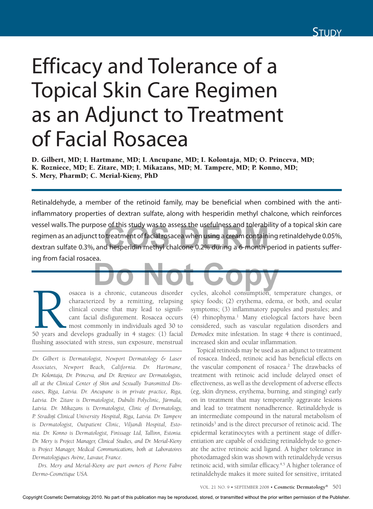

# Efficacy and Tolerance of a Topical Skin Care Regimen as an Adjunct to Treatment of Facial Rosacea

D. Gilbert, MD; I. Hartmane, MD; I. Ancupane, MD; I. Kolontaja, MD; O. Princeva, MD; K. Rozniece, MD; E. Zitare, MD; I. Mikazans, MD; M. Tampere, MD; P. Konno, MD; S. Mery, PharmD; C. Merial-Kieny, PhD

Retinaldehyde, a member of the retinoid family, may be beneficial when combined with the antiinflammatory properties of dextran sulfate, along with hesperidin methyl chalcone, which reinforces vessel walls. The purpose of this study was to assess the usefulness and tolerability of a topical skin care regimen as an adjunct to treatment of facial rosacea when using a cream containing retinaldehyde 0.05%, vessel walls. The purpose of this study was to assess the usefulness and tolerability of a topical skin care<br>regimen as an adjunct to treatment of facial rosacea when using a cream containing retinaldehyde 0.05%,<br>dextran s ing from facial rosacea. <u>de la componenta de la componenta de la componenta de la componenta de la componenta de la componenta de la compo<br>De la componenta de la componenta de la componenta de la componenta de la componenta de la componenta de la</u>

Sacea is a chronic, cutaneous disorder characterized by a remitting, relapsing clinical course that may lead to significant facial disfigurement. Rosacea occurs most commonly in individuals aged 30 to 50 years and develops characterized by a remitting, relapsing clinical course that may lead to significant facial disfigurement. Rosacea occurs most commonly in individuals aged 30 to flushing associated with stress, sun exposure, menstrual

*Dr. Gilbert is Dermatologist, Newport Dermatology & Laser Associates, Newport Beach, California. Dr. Hartmane, Dr. Kolontaja, Dr. Princeva, and Dr. Rozniece are Dermatologists, all at the Clinical Center of Skin and Sexually Transmitted Diseases, Riga, Latvia. Dr. Ancupane is in private practice, Riga,*  Latvia. Dr. Zitare is Dermatologist, Dubulti Polyclinic, Jūrmala, *Latvia. Dr. Mikazans is Dermatologist, Clinic of Dermatology, P. Stradin,š Clinical University Hospital, Riga, Latvia. Dr. Tampere is Dermatologist, Outpatient Clinic, Viljandi Hospital, Estonia. Dr. Konno is Dermatologist, Finissage Ltd, Tallinn, Estonia. Dr. Mery is Project Manager, Clinical Studies, and Dr. Merial-Kieny is Project Manager, Medical Communications, both at Laboratoires Dermatologiques Avène, Lavaur, France.*

*Drs. Mery and Merial-Kieny are part owners of Pierre Fabre Dermo-Cosmétique USA.*

cycles, alcohol consumption, temperature changes, or spicy foods; (2) erythema, edema, or both, and ocular symptoms; (3) inflammatory papules and pustules; and (4) rhinophyma.<sup>1</sup> Many etiological factors have been considered, such as vascular regulation disorders and *Demodex* mite infestation. In stage 4 there is continued, increased skin and ocular inflammation.

Topical retinoids may be used as an adjunct to treatment of rosacea. Indeed, retinoic acid has beneficial effects on the vascular component of rosacea.<sup>2</sup> The drawbacks of treatment with retinoic acid include delayed onset of effectiveness, as well as the development of adverse effects (eg, skin dryness, erythema, burning, and stinging) early on in treatment that may temporarily aggravate lesions and lead to treatment nonadherence. Retinaldehyde is an intermediate compound in the natural metabolism of retinoids<sup>3</sup> and is the direct precursor of retinoic acid. The epidermal keratinocytes with a pertinent stage of differentiation are capable of oxidizing retinaldehyde to generate the active retinoic acid ligand. A higher tolerance in photodamaged skin was shown with retinaldehyde versus retinoic acid, with similar efficacy.<sup>4,5</sup> A higher tolerance of retinaldehyde makes it more suited for sensitive, irritated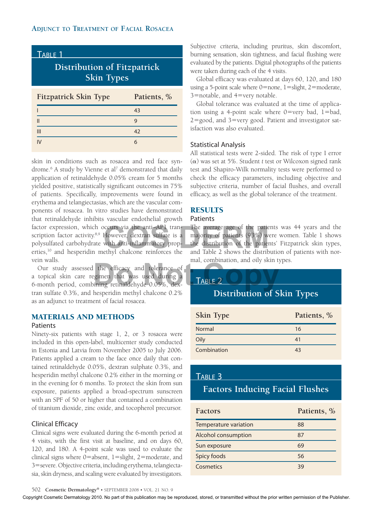| TABLE 1                                                 |             |  |
|---------------------------------------------------------|-------------|--|
| <b>Distribution of Fitzpatrick</b><br><b>Skin Types</b> |             |  |
| <b>Fitzpatrick Skin Type</b>                            | Patients, % |  |
|                                                         | 43          |  |
| $\mathbf{I}$                                            | g           |  |
| III                                                     | 42          |  |
|                                                         | 6           |  |

skin in conditions such as rosacea and red face syndrome.<sup>6</sup> A study by Vienne et al<sup>7</sup> demonstrated that daily application of retinaldehyde 0.05% cream for 5 months yielded positive, statistically significant outcomes in 75% of patients. Specifically, improvements were found in erythema and telangiectasias, which are the vascular components of rosacea. In vitro studies have demonstrated that retinaldehyde inhibits vascular endothelial growth factor expression, which occurs via the anti–AP1 transcription factor activity.<sup>8,9</sup> However, dextran sulfate is a polysulfated carbohydrate with anti-inflammatory properties,<sup>10</sup> and hesperidin methyl chalcone reinforces the vein walls.

Our study assessed the efficacy and tolerance of a topical skin care regimen that was used during a 6-month period, combining retinaldehyde 0.05%, dextran sulfate 0.3%, and hesperidin methyl chalcone 0.2% as an adjunct to treatment of facial rosacea. the efficacy and tolerance of<br>gimen that was used during a<br>ining retinaldehyde 0.05%, dex-<br>**TABLE 2** 

# Materials and Methods

## Patients

Ninety-six patients with stage 1, 2, or 3 rosacea were included in this open-label, multicenter study conducted in Estonia and Latvia from November 2005 to July 2006. Patients applied a cream to the face once daily that contained retinaldehyde 0.05%, dextran sulphate 0.3%, and hesperidin methyl chalcone 0.2% either in the morning or in the evening for 6 months. To protect the skin from sun exposure, patients applied a broad-spectrum sunscreen with an SPF of 50 or higher that contained a combination of titanium dioxide, zinc oxide, and tocopherol precursor.

## Clinical Efficacy

Clinical signs were evaluated during the 6-month period at 4 visits, with the first visit at baseline, and on days 60, 120, and 180. A 4-point scale was used to evaluate the clinical signs where  $0=$ absent,  $1=$ slight,  $2=$ moderate, and 3=severe. Objective criteria, including erythema, telangiectasia, skin dryness, and scaling were evaluated by investigators.

Subjective criteria, including pruritus, skin discomfort, burning sensation, skin tightness, and facial flushing were evaluated by the patients. Digital photographs of the patients were taken during each of the 4 visits.

Global efficacy was evaluated at days 60, 120, and 180 using a 5-point scale where  $0=$ none,  $1=$ slight,  $2=$ moderate,  $3$ =notable, and  $4$ =very notable.

Global tolerance was evaluated at the time of application using a 4-point scale where  $0=$ very bad, 1=bad,  $2 =$ good, and  $3 =$ very good. Patient and investigator satisfaction was also evaluated.

## Statistical Analysis

All statistical tests were 2-sided. The risk of type I error (a) was set at 5%. Student *t* test or Wilcoxon signed rank test and Shapiro-Wilk normality tests were performed to check the efficacy parameters, including objective and subjective criteria, number of facial flushes, and overall efficacy, as well as the global tolerance of the treatment.

# **RESULTS**

## Patients

The average age of the patients was 44 years and the majority of patients (93%) were women. Table 1 shows the distribution of the patients' Fitzpatrick skin types, and the anti-AP1 tran-<br>
However, dextran sulfate is a majority of patients (93%) were women. Table 1 shows<br>
with anti-inflammatory prop-<br>
the distribution of the patients' Fitzpatrick skin types,<br>
ethyl chalcone reinforces mal, combination, and oily skin types.

# Table 2

# **Distribution of Skin Types**

| Skin Type   | Patients, % |
|-------------|-------------|
| Normal      | 16          |
| Oily        | 41          |
| Combination | 43          |

# Table 3

# **Factors Inducing Facial Flushes**

| <b>Factors</b>        | Patients, % |
|-----------------------|-------------|
| Temperature variation | 88          |
| Alcohol consumption   | 87          |
| Sun exposure          | 69          |
| Spicy foods           | 56          |
| Cosmetics             | 39          |

502 **Cosmetic Dermatology®** • september <sup>2008</sup> • Vol. 21 No. 9

Copyright Cosmetic Dermatology 2010. No part of this publication may be reproduced, stored, or transmitted without the prior written permission of the Publisher.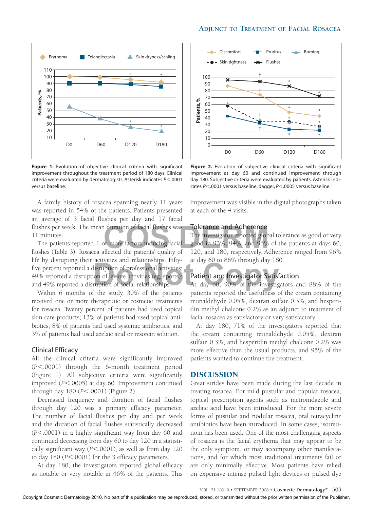



Figure 1. Evolution of objective clinical criteria with significant improvement throughout the treatment period of 180 days. Clinical criteria were evaluated by dermatologists. Asterisk indicates  $P$ <.0001 versus baseline.

A family history of rosacea spanning nearly 11 years was reported in 54% of the patients. Patients presented an average of 3 facial flushes per day and 17 facial flushes per week. The mean duration of facial flushes was 11 minutes.

The patients reported 1 or more factors inducing facial flushes (Table 3). Rosacea affected the patients' quality of life by disrupting their activities and relationships. Fiftyfive percent reported a disruption of professional activities; 49% reported a disruption of leisure activities (eg, sports); and 49% reported a disruption of social relationships. determines and relationships. Fitty-detector of 80% infough day 160.<br>
Interpretion of professional activities;<br>
on of leisure activities (eg, sports);<br> **Datient and Investigator Satisfaction**<br>
At day 60, 90% of the investi

Within 6 months of the study, 30% of the patients received one or more therapeutic or cosmetic treatments for rosacea. Twenty percent of patients had used topical skin care products; 13% of patients had used topical antibiotics; 8% of patients had used systemic antibiotics; and 3% of patients had used azelaic acid or resorcin solution.

#### Clinical Efficacy

All the clinical criteria were significantly improved (*P*<.0001) through the 6-month treatment period (Figure 1). All subjective criteria were significantly improved ( $P$ <.0005) at day 60. Improvement continued through day 180 (*P*<.0001) (Figure 2).

Decreased frequency and duration of facial flushes through day 120 was a primary efficacy parameter. The number of facial flushes per day and per week and the duration of facial flushes statistically decreased ( $P$ <.0001) in a highly significant way from day 60 and continued decreasing from day 60 to day 120 in a statistically significant way  $(P<.0001)$ , as well as from day 120 to day 180 (*P*<.0001) for the 3 efficacy parameters.

At day 180, the investigators reported global efficacy as notable or very notable in 46% of the patients. This



Figure 2. Evolution of subjective clinical criteria with significant improvement at day 60 and continued improvement through day 180. Subjective criteria were evaluated by patients. Asterisk indicates  $P<.0001$  versus baseline; dagger,  $P<.0005$  versus baseline.

improvement was visible in the digital photographs taken at each of the 4 visits.

#### Tolerance and Adherence

The investigator reported global tolerance as good or very good in 93%, 94%, and 96% of the patients at days 60, 120, and 180, respectively. Adherence ranged from 96% at day 60 to 86% through day 180. In duration of facial flushes was<br>
The investigator reported global tol<br>
or more factors inducing facial<br>
good in 93%, 94%, and 96% of the<br>
diffected the patients' quality of 120, and 180, respectively. Adhere

### Patient and Investigator Satisfaction

patients reported the usefulness of the cream containing retinaldehyde 0.05%, dextran sulfate 0.3%, and hesperidin methyl chalcone 0.2% as an adjunct to treatment of facial rosacea as satisfactory or very satisfactory.

At day 180, 71% of the investigators reported that the cream containing retinaldehyde 0.05%, dextran sulfate 0.3%, and hesperidin methyl chalcone 0.2% was more effective than the usual products, and 95% of the patients wanted to continue the treatment.

#### Discussion

Great strides have been made during the last decade in treating rosacea. For mild pustular and papular rosacea, topical prescription agents such as metronidazole and azelaic acid have been introduced. For the more severe forms of pustular and nodular rosacea, oral tetracycline antibiotics have been introduced. In some cases, isotretinoin has been used. One of the most challenging aspects of rosacea is the facial erythema that may appear to be the only symptom, or may accompany other manifestations, and for which most traditional treatments fail or are only minimally effective. Most patients have relied on expensive intense pulsed light devices or pulsed dye